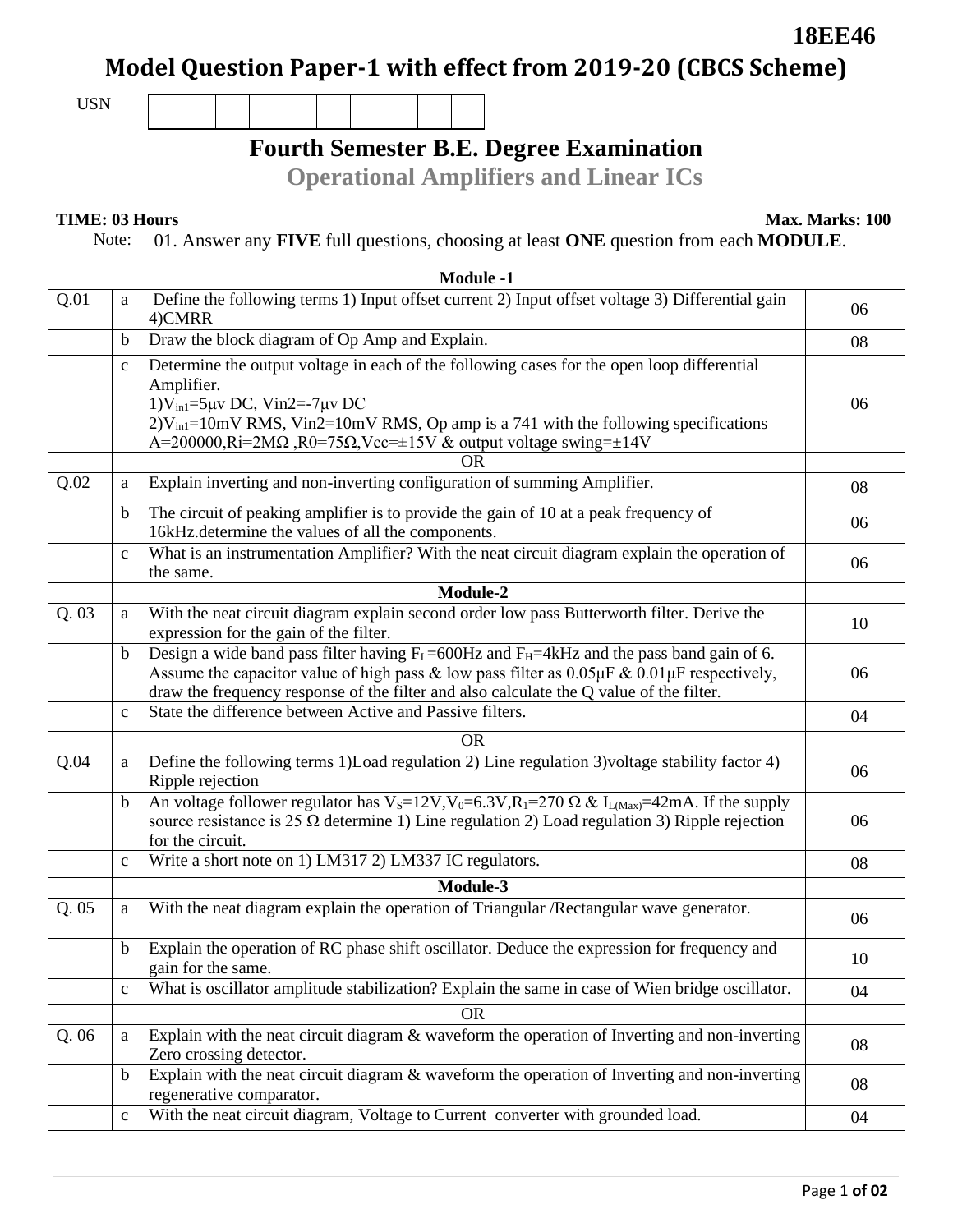## **Model Question Paper-1 with effect from 2019-20 (CBCS Scheme)**

USN

## **Fourth Semester B.E. Degree Examination**

**Operational Amplifiers and Linear ICs**

**TIME: 03 Hours Max. Marks: 100**

**18EE46**

Note: 01. Answer any **FIVE** full questions, choosing at least **ONE** question from each **MODULE**.

|      | <b>Module -1</b> |                                                                                                                                                                                                                                                                                                                                               |    |  |  |
|------|------------------|-----------------------------------------------------------------------------------------------------------------------------------------------------------------------------------------------------------------------------------------------------------------------------------------------------------------------------------------------|----|--|--|
| Q.01 | a                | Define the following terms 1) Input offset current 2) Input offset voltage 3) Differential gain<br>4)CMRR                                                                                                                                                                                                                                     | 06 |  |  |
|      | b                | Draw the block diagram of Op Amp and Explain.                                                                                                                                                                                                                                                                                                 | 08 |  |  |
|      | $\mathbf{C}$     | Determine the output voltage in each of the following cases for the open loop differential<br>Amplifier.<br>$1)V_{in1}$ =5µv DC, Vin2=-7µv DC<br>$2)V_{in} = 10$ mV RMS, Vin2=10 mV RMS, Op amp is a 741 with the following specifications<br>A=200000,Ri=2M $\Omega$ ,R0=75 $\Omega$ ,Vcc= $\pm$ 15V & output voltage swing= $\pm$ 14V<br>OR | 06 |  |  |
| Q.02 | a                | Explain inverting and non-inverting configuration of summing Amplifier.                                                                                                                                                                                                                                                                       | 08 |  |  |
|      |                  |                                                                                                                                                                                                                                                                                                                                               |    |  |  |
|      | b                | The circuit of peaking amplifier is to provide the gain of 10 at a peak frequency of<br>16kHz.determine the values of all the components.                                                                                                                                                                                                     | 06 |  |  |
|      | $\mathbf{C}$     | What is an instrumentation Amplifier? With the neat circuit diagram explain the operation of<br>the same.                                                                                                                                                                                                                                     | 06 |  |  |
|      |                  | Module-2                                                                                                                                                                                                                                                                                                                                      |    |  |  |
| Q.03 | a                | With the neat circuit diagram explain second order low pass Butterworth filter. Derive the<br>expression for the gain of the filter.                                                                                                                                                                                                          | 10 |  |  |
|      | $\mathbf b$      | Design a wide band pass filter having $F_L$ =600Hz and $F_H$ =4kHz and the pass band gain of 6.<br>Assume the capacitor value of high pass & low pass filter as $0.05 \mu$ F & $0.01 \mu$ F respectively,<br>draw the frequency response of the filter and also calculate the Q value of the filter.                                          | 06 |  |  |
|      | $\mathbf c$      | State the difference between Active and Passive filters.                                                                                                                                                                                                                                                                                      | 04 |  |  |
|      |                  | <b>OR</b>                                                                                                                                                                                                                                                                                                                                     |    |  |  |
| Q.04 | a                | Define the following terms 1)Load regulation 2) Line regulation 3) voltage stability factor 4)<br>Ripple rejection                                                                                                                                                                                                                            | 06 |  |  |
|      | b                | An voltage follower regulator has V <sub>s</sub> =12V,V <sub>0</sub> =6.3V,R <sub>1</sub> =270 $\Omega$ & I <sub>L(Max)</sub> =42mA. If the supply<br>source resistance is 25 $\Omega$ determine 1) Line regulation 2) Load regulation 3) Ripple rejection<br>for the circuit.                                                                | 06 |  |  |
|      | $\mathbf c$      | Write a short note on 1) LM317 2) LM337 IC regulators.                                                                                                                                                                                                                                                                                        | 08 |  |  |
|      |                  | Module-3                                                                                                                                                                                                                                                                                                                                      |    |  |  |
| Q.05 | a                | With the neat diagram explain the operation of Triangular /Rectangular wave generator.                                                                                                                                                                                                                                                        | 06 |  |  |
|      | $\mathbf b$      | Explain the operation of RC phase shift oscillator. Deduce the expression for frequency and<br>gain for the same.                                                                                                                                                                                                                             | 10 |  |  |
|      | $\mathbf{C}$     | What is oscillator amplitude stabilization? Explain the same in case of Wien bridge oscillator.                                                                                                                                                                                                                                               | 04 |  |  |
|      |                  | <b>OR</b>                                                                                                                                                                                                                                                                                                                                     |    |  |  |
| Q.06 | a                | Explain with the neat circuit diagram & waveform the operation of Inverting and non-inverting<br>Zero crossing detector.                                                                                                                                                                                                                      | 08 |  |  |
|      | b                | Explain with the neat circuit diagram & waveform the operation of Inverting and non-inverting<br>regenerative comparator.                                                                                                                                                                                                                     | 08 |  |  |
|      | $\mathbf c$      | With the neat circuit diagram, Voltage to Current converter with grounded load.                                                                                                                                                                                                                                                               | 04 |  |  |